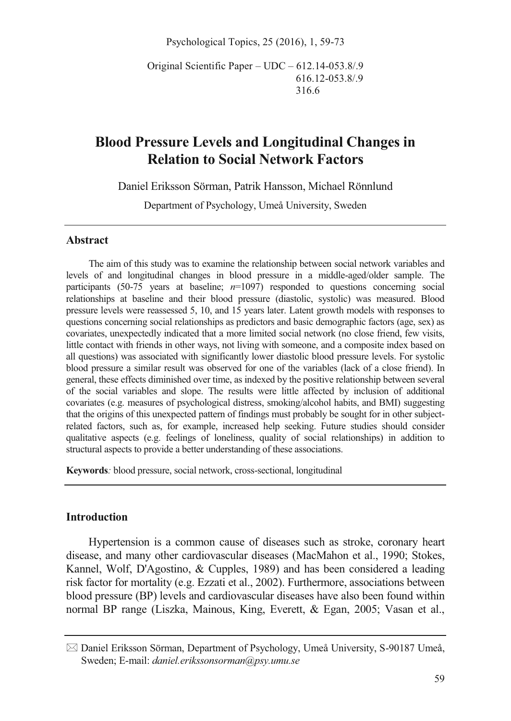Psychological Topics, 25 (2016), 1, 59-73

Original Scientific Paper – UDC – 612.14-053.8/.9 616.12-053.8/.9 316.6

# **Blood Pressure Levels and Longitudinal Changes in Relation to Social Network Factors**

Daniel Eriksson Sörman, Patrik Hansson, Michael Rönnlund

Department of Psychology, Umeå University, Sweden

#### **Abstract**

The aim of this study was to examine the relationship between social network variables and levels of and longitudinal changes in blood pressure in a middle-aged/older sample. The participants (50-75 years at baseline; *n*=1097) responded to questions concerning social relationships at baseline and their blood pressure (diastolic, systolic) was measured. Blood pressure levels were reassessed 5, 10, and 15 years later. Latent growth models with responses to questions concerning social relationships as predictors and basic demographic factors (age, sex) as covariates, unexpectedly indicated that a more limited social network (no close friend, few visits, little contact with friends in other ways, not living with someone, and a composite index based on all questions) was associated with significantly lower diastolic blood pressure levels. For systolic blood pressure a similar result was observed for one of the variables (lack of a close friend). In general, these effects diminished over time, as indexed by the positive relationship between several of the social variables and slope. The results were little affected by inclusion of additional covariates (e.g. measures of psychological distress, smoking/alcohol habits, and BMI) suggesting that the origins of this unexpected pattern of findings must probably be sought for in other subjectrelated factors, such as, for example, increased help seeking. Future studies should consider qualitative aspects (e.g. feelings of loneliness, quality of social relationships) in addition to structural aspects to provide a better understanding of these associations.

**Keywords***:* blood pressure, social network, cross-sectional, longitudinal

## **Introduction**

Hypertension is a common cause of diseases such as stroke, coronary heart disease, and many other cardiovascular diseases (MacMahon et al., 1990; Stokes, Kannel, Wolf, D'Agostino, & Cupples, 1989) and has been considered a leading risk factor for mortality (e.g. Ezzati et al., 2002). Furthermore, associations between blood pressure (BP) levels and cardiovascular diseases have also been found within normal BP range (Liszka, Mainous, King, Everett, & Egan, 2005; Vasan et al.,

<sup>-</sup> Daniel Eriksson Sörman, Department of Psychology, Umeå University, S-90187 Umeå, Sweden; E-mail: *daniel.erikssonsorman@psy.umu.se*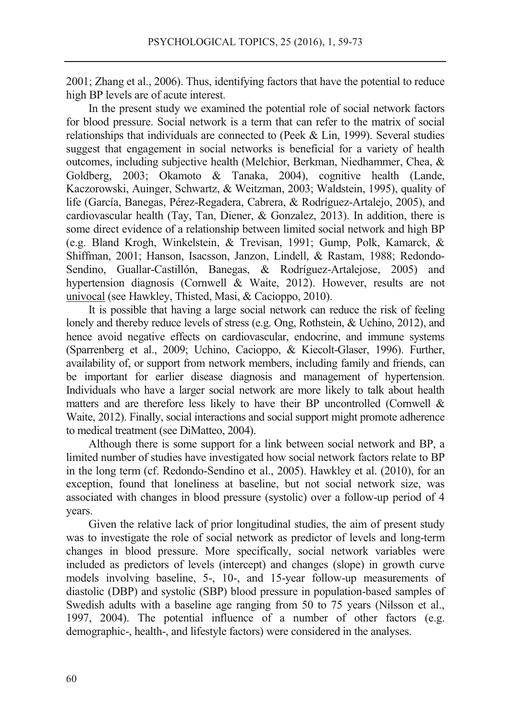2001; Zhang et al., 2006). Thus, identifying factors that have the potential to reduce high BP levels are of acute interest.

In the present study we examined the potential role of social network factors for blood pressure. Social network is a term that can refer to the matrix of social relationships that individuals are connected to (Peek & Lin, 1999). Several studies suggest that engagement in social networks is beneficial for a variety of health outcomes, including subjective health (Melchior, Berkman, Niedhammer, Chea, & Goldberg, 2003; Okamoto & Tanaka, 2004), cognitive health (Lande, Kaczorowski, Auinger, Schwartz, & Weitzman, 2003; Waldstein, 1995), quality of life (García, Banegas, Pérez-Regadera, Cabrera, & Rodríguez-Artalejo, 2005), and cardiovascular health (Tay, Tan, Diener, & Gonzalez, 2013). In addition, there is some direct evidence of a relationship between limited social network and high BP (e.g. Bland Krogh, Winkelstein, & Trevisan, 1991; Gump, Polk, Kamarck, & Shiffman, 2001; Hanson, Isacsson, Janzon, Lindell, & Rastam, 1988; Redondo-Sendino, Guallar-Castillón, Banegas, & Rodríguez-Artalejose, 2005) and hypertension diagnosis (Cornwell & Waite, 2012). However, results are not univocal (see Hawkley, Thisted, Masi, & Cacioppo, 2010).

It is possible that having a large social network can reduce the risk of feeling lonely and thereby reduce levels of stress (e.g. Ong, Rothstein, & Uchino, 2012), and hence avoid negative effects on cardiovascular, endocrine, and immune systems (Sparrenberg et al., 2009; Uchino, Cacioppo, & Kiecolt-Glaser, 1996). Further, availability of, or support from network members, including family and friends, can be important for earlier disease diagnosis and management of hypertension. Individuals who have a larger social network are more likely to talk about health matters and are therefore less likely to have their BP uncontrolled (Cornwell & Waite, 2012). Finally, social interactions and social support might promote adherence to medical treatment (see DiMatteo, 2004).

Although there is some support for a link between social network and BP, a limited number of studies have investigated how social network factors relate to BP in the long term (cf. Redondo-Sendino et al., 2005). Hawkley et al. (2010), for an exception, found that loneliness at baseline, but not social network size, was associated with changes in blood pressure (systolic) over a follow-up period of 4 years.

Given the relative lack of prior longitudinal studies, the aim of present study was to investigate the role of social network as predictor of levels and long-term changes in blood pressure. More specifically, social network variables were included as predictors of levels (intercept) and changes (slope) in growth curve models involving baseline, 5-, 10-, and 15-year follow-up measurements of diastolic (DBP) and systolic (SBP) blood pressure in population-based samples of Swedish adults with a baseline age ranging from 50 to 75 years (Nilsson et al., 1997, 2004). The potential influence of a number of other factors (e.g. demographic-, health-, and lifestyle factors) were considered in the analyses.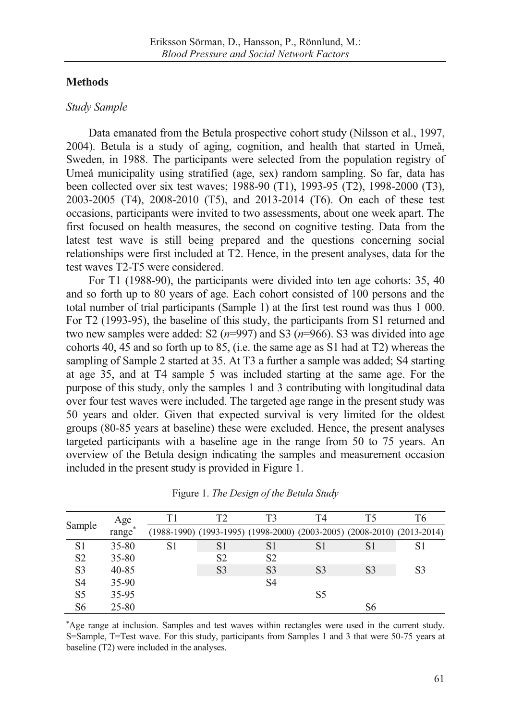# **Methods**

### *Study Sample*

Data emanated from the Betula prospective cohort study (Nilsson et al., 1997, 2004). Betula is a study of aging, cognition, and health that started in Umeå, Sweden, in 1988. The participants were selected from the population registry of Umeå municipality using stratified (age, sex) random sampling. So far, data has been collected over six test waves; 1988-90 (T1), 1993-95 (T2), 1998-2000 (T3), 2003-2005 (T4), 2008-2010 (T5), and 2013-2014 (T6). On each of these test occasions, participants were invited to two assessments, about one week apart. The first focused on health measures, the second on cognitive testing. Data from the latest test wave is still being prepared and the questions concerning social relationships were first included at T2. Hence, in the present analyses, data for the test waves T2-T5 were considered.

For T1 (1988-90), the participants were divided into ten age cohorts: 35, 40 and so forth up to 80 years of age. Each cohort consisted of 100 persons and the total number of trial participants (Sample 1) at the first test round was thus 1 000. For T2 (1993-95), the baseline of this study, the participants from S1 returned and two new samples were added: S2  $(n=997)$  and S3  $(n=966)$ . S3 was divided into age cohorts 40, 45 and so forth up to 85, (i.e. the same age as S1 had at T2) whereas the sampling of Sample 2 started at 35. At T3 a further a sample was added; S4 starting at age 35, and at T4 sample 5 was included starting at the same age. For the purpose of this study, only the samples 1 and 3 contributing with longitudinal data over four test waves were included. The targeted age range in the present study was 50 years and older. Given that expected survival is very limited for the oldest groups (80-85 years at baseline) these were excluded. Hence, the present analyses targeted participants with a baseline age in the range from 50 to 75 years. An overview of the Betula design indicating the samples and measurement occasion included in the present study is provided in Figure 1.

|                | Age        | Τ1 | T2 | T3             | T4                                                                      | T5             | T6 |
|----------------|------------|----|----|----------------|-------------------------------------------------------------------------|----------------|----|
| Sample         | *<br>range |    |    |                | (1988-1990) (1993-1995) (1998-2000) (2003-2005) (2008-2010) (2013-2014) |                |    |
| S1             | 35-80      | S1 | S1 | S1             | S1                                                                      | S1             | S1 |
| S <sub>2</sub> | $35 - 80$  |    | S2 | S <sub>2</sub> |                                                                         |                |    |
| S <sub>3</sub> | 40-85      |    | S3 | S <sub>3</sub> | S <sub>3</sub>                                                          | S <sub>3</sub> | S3 |
| S4             | $35-90$    |    |    | S4             |                                                                         |                |    |
| S <sub>5</sub> | 35-95      |    |    |                | S5                                                                      |                |    |
| S6             | 25-80      |    |    |                |                                                                         | S6             |    |

Figure 1. *The Design of the Betula Study* 

\* Age range at inclusion. Samples and test waves within rectangles were used in the current study. S=Sample, T=Test wave. For this study, participants from Samples 1 and 3 that were 50-75 years at baseline (T2) were included in the analyses.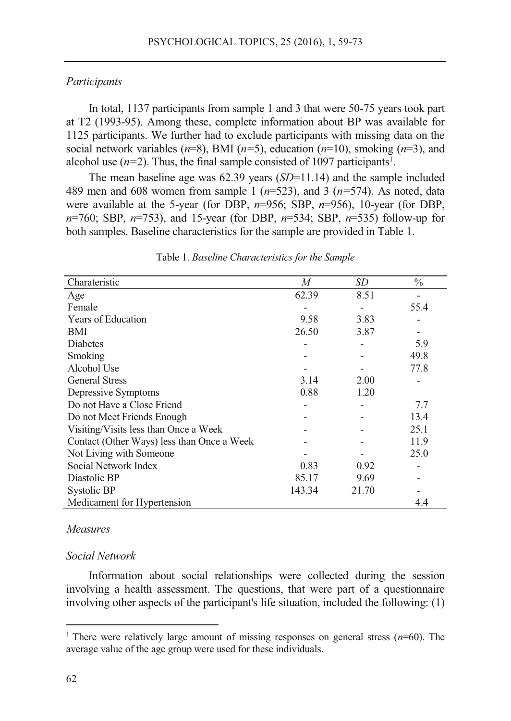### *Participants*

In total, 1137 participants from sample 1 and 3 that were 50-75 years took part at T2 (1993-95). Among these, complete information about BP was available for 1125 participants. We further had to exclude participants with missing data on the social network variables  $(n=8)$ , BMI  $(n=5)$ , education  $(n=10)$ , smoking  $(n=3)$ , and alcohol use  $(n=2)$ . Thus, the final sample consisted of 1097 participants<sup>1</sup>.

The mean baseline age was 62.39 years (*SD*=11.14) and the sample included 489 men and 608 women from sample 1 (*n*=523), and 3 (*n=*574). As noted, data were available at the 5-year (for DBP, *n*=956; SBP, *n*=956), 10-year (for DBP, *n*=760; SBP, *n*=753), and 15-year (for DBP, *n*=534; SBP, *n*=535) follow-up for both samples. Baseline characteristics for the sample are provided in Table 1.

| Charateristic                              | M      | SD    | $\frac{0}{0}$ |
|--------------------------------------------|--------|-------|---------------|
| Age                                        | 62.39  | 8.51  |               |
| Female                                     |        |       | 55.4          |
| Years of Education                         | 9.58   | 3.83  |               |
| BMI                                        | 26.50  | 3.87  |               |
| <b>Diabetes</b>                            |        |       | 5.9           |
| Smoking                                    |        |       | 49.8          |
| Alcohol Use                                |        |       | 77.8          |
| <b>General Stress</b>                      | 3.14   | 2.00  |               |
| Depressive Symptoms                        | 0.88   | 1.20  |               |
| Do not Have a Close Friend                 |        |       | 7.7           |
| Do not Meet Friends Enough                 |        |       | 13.4          |
| Visiting/Visits less than Once a Week      |        |       | 25.1          |
| Contact (Other Ways) less than Once a Week |        |       | 11.9          |
| Not Living with Someone                    |        |       | 25.0          |
| Social Network Index                       | 0.83   | 0.92  |               |
| Diastolic BP                               | 85.17  | 9.69  |               |
| Systolic BP                                | 143.34 | 21.70 |               |
| Medicament for Hypertension                |        |       | 4.4           |

Table 1. *Baseline Characteristics for the Sample* 

## *Measures*

### *Social Network*

Information about social relationships were collected during the session involving a health assessment. The questions, that were part of a questionnaire involving other aspects of the participant's life situation, included the following: (1)

<sup>&</sup>lt;sup>1</sup> There were relatively large amount of missing responses on general stress  $(n=60)$ . The average value of the age group were used for these individuals.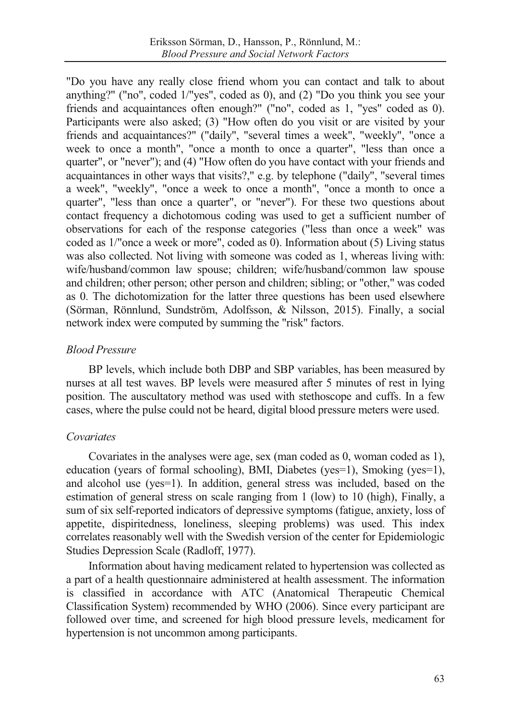"Do you have any really close friend whom you can contact and talk to about anything?" ("no", coded 1/"yes", coded as 0), and (2) "Do you think you see your friends and acquaintances often enough?" ("no", coded as 1, "yes" coded as 0). Participants were also asked; (3) "How often do you visit or are visited by your friends and acquaintances?" ("daily", "several times a week", "weekly", "once a week to once a month", "once a month to once a quarter", "less than once a quarter", or "never"); and (4) "How often do you have contact with your friends and acquaintances in other ways that visits?," e.g. by telephone ("daily", "several times a week", "weekly", "once a week to once a month", "once a month to once a quarter", "less than once a quarter", or "never"). For these two questions about contact frequency a dichotomous coding was used to get a sufficient number of observations for each of the response categories ("less than once a week" was coded as 1/"once a week or more", coded as 0). Information about (5) Living status was also collected. Not living with someone was coded as 1, whereas living with: wife/husband/common law spouse; children; wife/husband/common law spouse and children; other person; other person and children; sibling; or "other," was coded as 0. The dichotomization for the latter three questions has been used elsewhere (Sörman, Rönnlund, Sundström, Adolfsson, & Nilsson, 2015). Finally, a social network index were computed by summing the "risk" factors.

# *Blood Pressure*

BP levels, which include both DBP and SBP variables, has been measured by nurses at all test waves. BP levels were measured after 5 minutes of rest in lying position. The auscultatory method was used with stethoscope and cuffs. In a few cases, where the pulse could not be heard, digital blood pressure meters were used.

# *Covariates*

Covariates in the analyses were age, sex (man coded as 0, woman coded as 1), education (years of formal schooling), BMI, Diabetes (yes=1), Smoking (yes=1), and alcohol use (yes=1). In addition, general stress was included, based on the estimation of general stress on scale ranging from 1 (low) to 10 (high), Finally, a sum of six self-reported indicators of depressive symptoms (fatigue, anxiety, loss of appetite, dispiritedness, loneliness, sleeping problems) was used. This index correlates reasonably well with the Swedish version of the center for Epidemiologic Studies Depression Scale (Radloff, 1977).

Information about having medicament related to hypertension was collected as a part of a health questionnaire administered at health assessment. The information is classified in accordance with ATC (Anatomical Therapeutic Chemical Classification System) recommended by WHO (2006). Since every participant are followed over time, and screened for high blood pressure levels, medicament for hypertension is not uncommon among participants.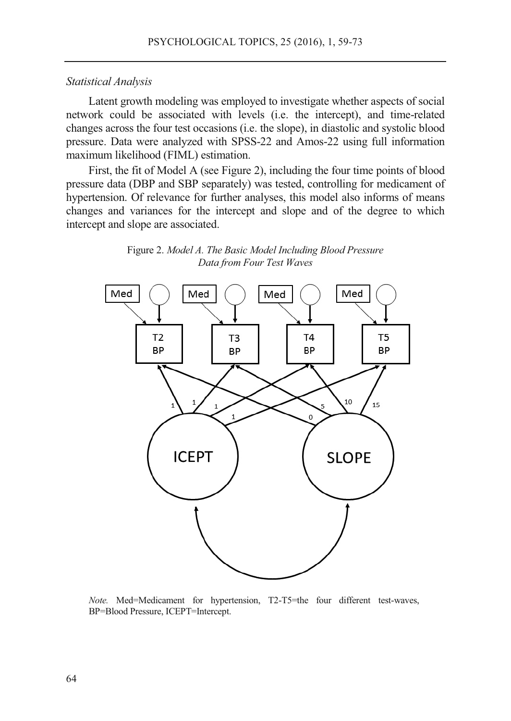#### *Statistical Analysis*

Latent growth modeling was employed to investigate whether aspects of social network could be associated with levels (i.e. the intercept), and time-related changes across the four test occasions (i.e. the slope), in diastolic and systolic blood pressure. Data were analyzed with SPSS-22 and Amos-22 using full information maximum likelihood (FIML) estimation.

First, the fit of Model A (see Figure 2), including the four time points of blood pressure data (DBP and SBP separately) was tested, controlling for medicament of hypertension. Of relevance for further analyses, this model also informs of means changes and variances for the intercept and slope and of the degree to which intercept and slope are associated.



Figure 2. *Model A. The Basic Model Including Blood Pressure Data from Four Test Waves* 

*Note.* Med=Medicament for hypertension, T2-T5=the four different test-waves, BP=Blood Pressure, ICEPT=Intercept.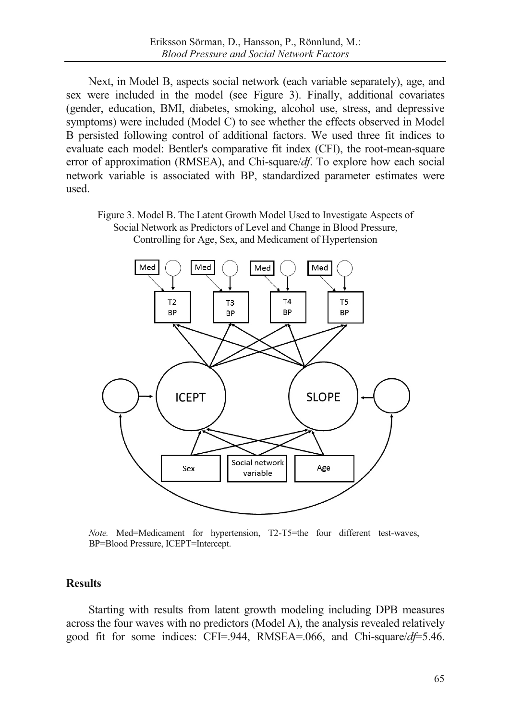Next, in Model B, aspects social network (each variable separately), age, and sex were included in the model (see Figure 3). Finally, additional covariates (gender, education, BMI, diabetes, smoking, alcohol use, stress, and depressive symptoms) were included (Model C) to see whether the effects observed in Model B persisted following control of additional factors. We used three fit indices to evaluate each model: Bentler's comparative fit index (CFI), the root-mean-square error of approximation (RMSEA), and Chi-square/*df*. To explore how each social network variable is associated with BP, standardized parameter estimates were used.

Figure 3. Model B. The Latent Growth Model Used to Investigate Aspects of Social Network as Predictors of Level and Change in Blood Pressure, Controlling for Age, Sex, and Medicament of Hypertension



*Note.* Med=Medicament for hypertension, T2-T5=the four different test-waves, BP=Blood Pressure, ICEPT=Intercept.

### **Results**

Starting with results from latent growth modeling including DPB measures across the four waves with no predictors (Model A), the analysis revealed relatively good fit for some indices: CFI=.944, RMSEA=.066, and Chi-square/*df*=5.46.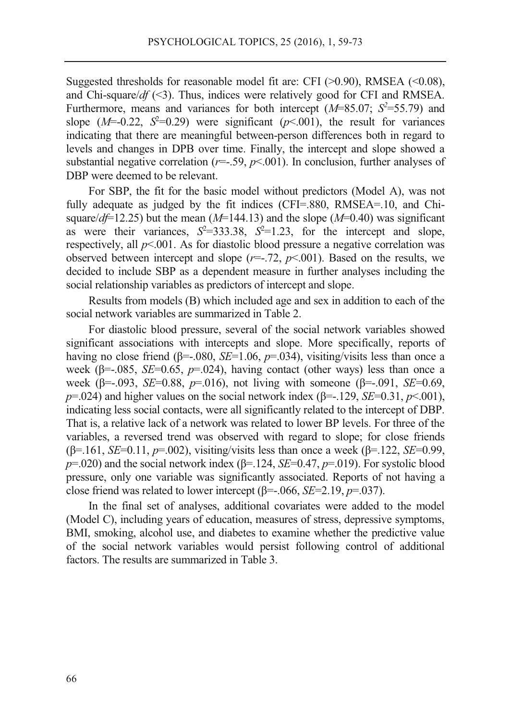Suggested thresholds for reasonable model fit are: CFI  $(>0.90)$ , RMSEA  $(<0.08)$ , and Chi-square/*df* (<3). Thus, indices were relatively good for CFI and RMSEA. Furthermore, means and variances for both intercept  $(M=85.07; S^2=55.79)$  and slope  $(M=0.22, S^2=0.29)$  were significant  $(p<0.01)$ , the result for variances indicating that there are meaningful between-person differences both in regard to levels and changes in DPB over time. Finally, the intercept and slope showed a substantial negative correlation  $(r=.59, p<.001)$ . In conclusion, further analyses of DBP were deemed to be relevant.

For SBP, the fit for the basic model without predictors (Model A), was not fully adequate as judged by the fit indices (CFI=.880, RMSEA=.10, and Chisquare/ $d\neq$  12.25) but the mean (*M*=144.13) and the slope (*M*=0.40) was significant as were their variances,  $S^2 = 333.38$ ,  $S^2 = 1.23$ , for the intercept and slope, respectively, all *p*<.001. As for diastolic blood pressure a negative correlation was observed between intercept and slope  $(r=-.72, p<.001)$ . Based on the results, we decided to include SBP as a dependent measure in further analyses including the social relationship variables as predictors of intercept and slope.

Results from models (B) which included age and sex in addition to each of the social network variables are summarized in Table 2.

For diastolic blood pressure, several of the social network variables showed significant associations with intercepts and slope. More specifically, reports of having no close friend ( $\beta$ =-.080, *SE*=1.06, *p*=.034), visiting/visits less than once a week (β=-.085, *SE*=0.65, *p*=.024), having contact (other ways) less than once a week (β=-.093, *SE*=0.88, *p*=.016), not living with someone (β=-.091, *SE*=0.69, *p*=.024) and higher values on the social network index ( $\beta$ =-.129, *SE*=0.31, *p*<.001), indicating less social contacts, were all significantly related to the intercept of DBP. That is, a relative lack of a network was related to lower BP levels. For three of the variables, a reversed trend was observed with regard to slope; for close friends (β=.161, *SE*=0.11, *p*=.002), visiting/visits less than once a week (β=.122, *SE*=0.99, *p*=.020) and the social network index (β=.124, *SE*=0.47, *p*=.019). For systolic blood pressure, only one variable was significantly associated. Reports of not having a close friend was related to lower intercept (β=-.066, *SE*=2.19, *p*=.037).

In the final set of analyses, additional covariates were added to the model (Model C), including years of education, measures of stress, depressive symptoms, BMI, smoking, alcohol use, and diabetes to examine whether the predictive value of the social network variables would persist following control of additional factors. The results are summarized in Table 3.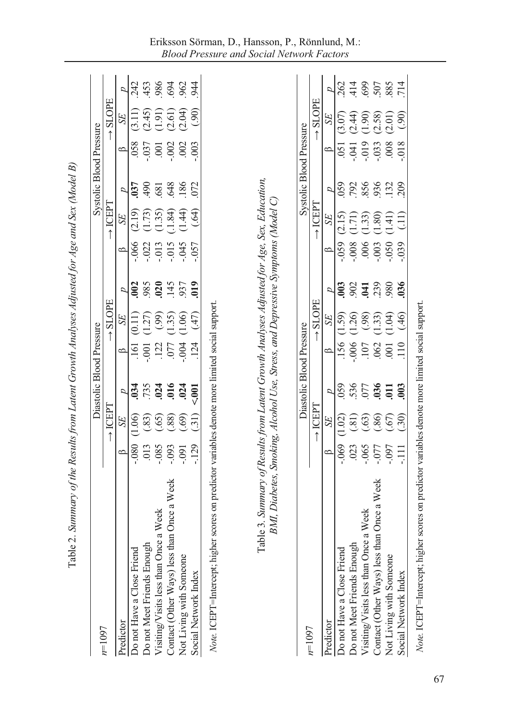|                                            |            |                     |                  | Diastolic Blood Pressure |                              |                   |                            |                     | Systolic Blood Pressure |          |                      |                   |
|--------------------------------------------|------------|---------------------|------------------|--------------------------|------------------------------|-------------------|----------------------------|---------------------|-------------------------|----------|----------------------|-------------------|
| $n=1097$                                   |            | $\rightarrow$ ICEPT |                  |                          | <b>SLOPE</b>                 |                   |                            | $\rightarrow$ ICEPT |                         |          | <b>SLOPE</b>         |                   |
| Predictor                                  |            | <b>SE</b>           | D                | B                        | SE                           | D                 | $\circ$                    | <b>SE</b>           | D                       | $\circ$  | SE <sub></sub>       | D                 |
| Do not Have a Close Friend                 | $-080$     | (1.06)              | .034             | $\overline{161}$         | (0.11)                       | 002               | .066                       | (2.19)              | .037                    | .058     | (3.11)               | 242               |
| Do not Meet Friends Enough                 | .013       | (83)                | .735             | $-0.001$                 | (1.27)                       | 985               |                            |                     | 06                      | .037     | (2.45)               |                   |
| Visiting/Visits less than Once a Week      | $-0.085$   | (65)                |                  | .122                     |                              |                   | $-022$<br>$-013$<br>$-015$ | (1.73)              | .681                    | .001     | (1.91)               | 453<br>986<br>962 |
| Contact (Other Ways) less than Once a Week | $-0.093$   | $\left(88\right)$   | $.024$<br>$.016$ | $.077$                   | $(1.35)$<br>(1.35)<br>(1.06) | 025<br>145<br>937 |                            |                     | 648                     | .002     |                      |                   |
| Not Living with Someone                    | $-0.091$   | (.69)               | .024             | .004                     |                              |                   | $-045$                     | $(1.84)$<br>(1.44)  | .186                    | .002     | $(2.61)$<br>$(2.04)$ |                   |
| Social Network Index                       | $-129$     | $\left($ .31)       | 5001             | 124                      | (47)                         | $_{019}$          | $-0.057$                   | (64)                | 072                     | .003     | (90)                 | 944               |
| $n=1097$                                   |            | $\rightarrow$ ICEPT |                  | Diastolic Blood Pressure |                              |                   |                            | $\rightarrow$ ICEPT | Systolic Blood Pressure |          | <b>SLOPE</b>         |                   |
|                                            |            |                     |                  |                          | $\rightarrow$ SLOPE          |                   |                            |                     |                         |          |                      |                   |
| Predictor                                  | ≏          | SE                  | d                | ≏                        | SE                           | ρ                 | $\circ$                    | SE                  | d                       | $\circ$  | SE                   | ρ                 |
| Do not Have a Close Friend                 | $-069$     | (1.02)              | 059              | .156                     | (1.59)                       | 003               | .059                       | (2.15)              | 059                     | .051     | (3.07)               | 262               |
| Do not Meet Friends Enough                 | .023       |                     | 536              | $000$ .                  |                              | 902               | 800.                       | (1.71)              | 792                     | .041     | (2.44)               | 414               |
| Visiting/Visits less than Once a Week      | $-065$     | (30)                | 077              | .107                     | (1.26)                       | 041               | .006                       | (1.33)              | 856                     | $-019$   | (1.90)               | 699               |
| Contact (Other Ways) less than Once a Week | L60<br>LL0 | (.86)               | 036              | $062$<br>$001$           |                              | 239               | .003                       | (1.80)              | 936                     | $-0.033$ | (2.58)               | 507               |
| Not Living with Someone                    |            | (67)                | $\overline{0}11$ |                          | $(1.33)$<br>$(1.04)$         | 980               | 0.050                      | (1.41)              |                         | 008      | (2.01)               |                   |
| Social Network Index                       | Ę          |                     | 003              | 110                      |                              | .036              | .039                       | (11)                | 209                     | $-0.08$  | (0.90)               | 714               |

Table 2. Summary of the Results from Latent Growth Analyses Adjusted for Ace and Sex (Model R) Table 2. *Summary of the Results from Latent Growth Analyses Adjusted for Age and Sex (Model B)* 

67

*Note.* ICEPT=Intercept; higher scores on predictor variables denote more limited social support.

Note. ICEPT=Intercept; higher scores on predictor variables denote more limited social support.

## Eriksson Sörman, D., Hansson, P., Rönnlund, M.: *Blood Pressure and Social Network Factors*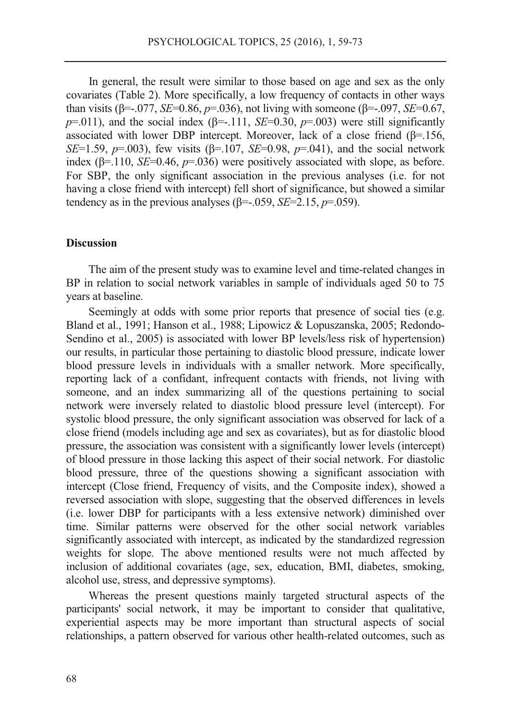In general, the result were similar to those based on age and sex as the only covariates (Table 2). More specifically, a low frequency of contacts in other ways than visits (β=-.077, *SE*=0.86, *p*=.036), not living with someone (β=-.097, *SE*=0.67,  $p=0.011$ ), and the social index ( $\beta$ =-.111, *SE*=0.30,  $p=0.003$ ) were still significantly associated with lower DBP intercept. Moreover, lack of a close friend  $(\beta = 156,$ *SE*=1.59, *p*=.003), few visits ( $\beta$ =.107, *SE*=0.98, *p*=.041), and the social network index ( $\beta$ =.110, *SE*=0.46,  $p$ =.036) were positively associated with slope, as before. For SBP, the only significant association in the previous analyses (i.e. for not having a close friend with intercept) fell short of significance, but showed a similar tendency as in the previous analyses (β=-.059, *SE*=2.15, *p*=.059).

### **Discussion**

The aim of the present study was to examine level and time-related changes in BP in relation to social network variables in sample of individuals aged 50 to 75 years at baseline.

Seemingly at odds with some prior reports that presence of social ties (e.g. Bland et al., 1991; Hanson et al., 1988; Lipowicz & Lopuszanska, 2005; Redondo-Sendino et al., 2005) is associated with lower BP levels/less risk of hypertension) our results, in particular those pertaining to diastolic blood pressure, indicate lower blood pressure levels in individuals with a smaller network. More specifically, reporting lack of a confidant, infrequent contacts with friends, not living with someone, and an index summarizing all of the questions pertaining to social network were inversely related to diastolic blood pressure level (intercept). For systolic blood pressure, the only significant association was observed for lack of a close friend (models including age and sex as covariates), but as for diastolic blood pressure, the association was consistent with a significantly lower levels (intercept) of blood pressure in those lacking this aspect of their social network. For diastolic blood pressure, three of the questions showing a significant association with intercept (Close friend, Frequency of visits, and the Composite index), showed a reversed association with slope, suggesting that the observed differences in levels (i.e. lower DBP for participants with a less extensive network) diminished over time. Similar patterns were observed for the other social network variables significantly associated with intercept, as indicated by the standardized regression weights for slope. The above mentioned results were not much affected by inclusion of additional covariates (age, sex, education, BMI, diabetes, smoking, alcohol use, stress, and depressive symptoms).

Whereas the present questions mainly targeted structural aspects of the participants' social network, it may be important to consider that qualitative, experiential aspects may be more important than structural aspects of social relationships, a pattern observed for various other health-related outcomes, such as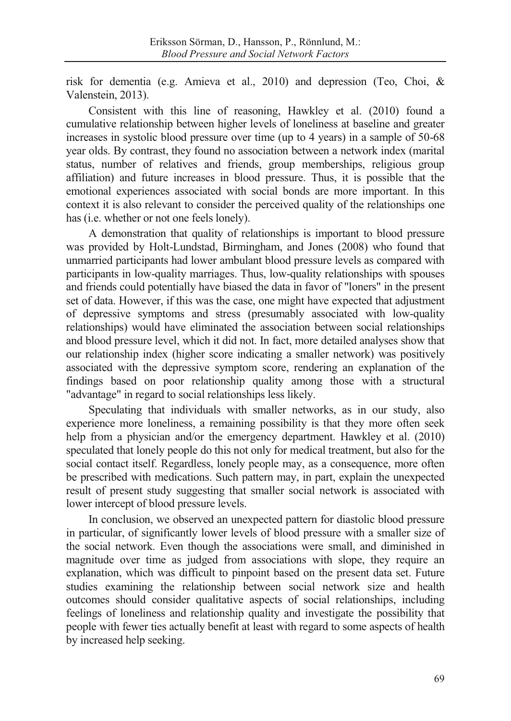risk for dementia (e.g. Amieva et al., 2010) and depression (Teo, Choi, & Valenstein, 2013).

Consistent with this line of reasoning, Hawkley et al. (2010) found a cumulative relationship between higher levels of loneliness at baseline and greater increases in systolic blood pressure over time (up to 4 years) in a sample of 50-68 year olds. By contrast, they found no association between a network index (marital status, number of relatives and friends, group memberships, religious group affiliation) and future increases in blood pressure. Thus, it is possible that the emotional experiences associated with social bonds are more important. In this context it is also relevant to consider the perceived quality of the relationships one has (i.e. whether or not one feels lonely).

A demonstration that quality of relationships is important to blood pressure was provided by Holt-Lundstad, Birmingham, and Jones (2008) who found that unmarried participants had lower ambulant blood pressure levels as compared with participants in low-quality marriages. Thus, low-quality relationships with spouses and friends could potentially have biased the data in favor of "loners" in the present set of data. However, if this was the case, one might have expected that adjustment of depressive symptoms and stress (presumably associated with low-quality relationships) would have eliminated the association between social relationships and blood pressure level, which it did not. In fact, more detailed analyses show that our relationship index (higher score indicating a smaller network) was positively associated with the depressive symptom score, rendering an explanation of the findings based on poor relationship quality among those with a structural "advantage" in regard to social relationships less likely.

Speculating that individuals with smaller networks, as in our study, also experience more loneliness, a remaining possibility is that they more often seek help from a physician and/or the emergency department. Hawkley et al. (2010) speculated that lonely people do this not only for medical treatment, but also for the social contact itself. Regardless, lonely people may, as a consequence, more often be prescribed with medications. Such pattern may, in part, explain the unexpected result of present study suggesting that smaller social network is associated with lower intercept of blood pressure levels.

In conclusion, we observed an unexpected pattern for diastolic blood pressure in particular, of significantly lower levels of blood pressure with a smaller size of the social network. Even though the associations were small, and diminished in magnitude over time as judged from associations with slope, they require an explanation, which was difficult to pinpoint based on the present data set. Future studies examining the relationship between social network size and health outcomes should consider qualitative aspects of social relationships, including feelings of loneliness and relationship quality and investigate the possibility that people with fewer ties actually benefit at least with regard to some aspects of health by increased help seeking.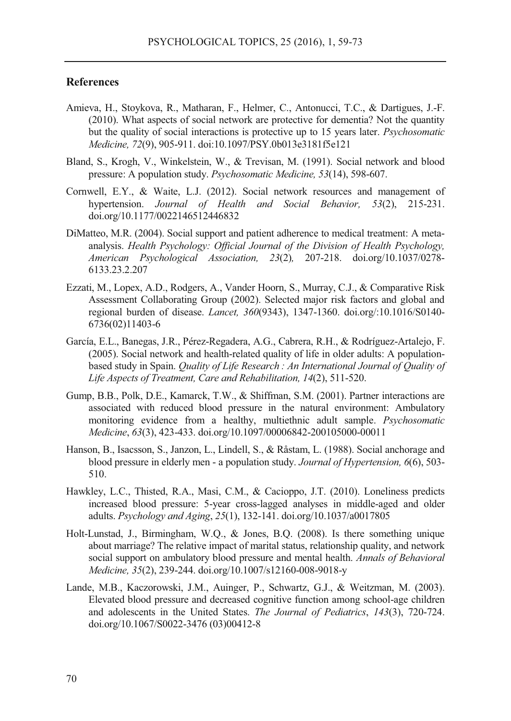#### **References**

- Amieva, H., Stoykova, R., Matharan, F., Helmer, C., Antonucci, T.C., & Dartigues, J.-F. (2010). What aspects of social network are protective for dementia? Not the quantity but the quality of social interactions is protective up to 15 years later. *Psychosomatic Medicine, 72*(9), 905-911. doi:10.1097/PSY.0b013e3181f5e121
- Bland, S., Krogh, V., Winkelstein, W., & Trevisan, M. (1991). Social network and blood pressure: A population study. *Psychosomatic Medicine, 53*(14), 598-607.
- Cornwell, E.Y., & Waite, L.J. (2012). Social network resources and management of hypertension. *Journal of Health and Social Behavior, 53*(2), 215-231. doi.org/10.1177/0022146512446832
- DiMatteo, M.R. (2004). Social support and patient adherence to medical treatment: A metaanalysis. *Health Psychology: Official Journal of the Division of Health Psychology, American Psychological Association, 23*(2)*,* 207-218. doi.org/10.1037/0278- 6133.23.2.207
- Ezzati, M., Lopex, A.D., Rodgers, A., Vander Hoorn, S., Murray, C.J., & Comparative Risk Assessment Collaborating Group (2002). Selected major risk factors and global and regional burden of disease. *Lancet, 360*(9343), 1347-1360. doi.org/:10.1016/S0140- 6736(02)11403-6
- García, E.L., Banegas, J.R., Pérez-Regadera, A.G., Cabrera, R.H., & Rodríguez-Artalejo, F. (2005). Social network and health-related quality of life in older adults: A populationbased study in Spain. *Quality of Life Research : An International Journal of Quality of Life Aspects of Treatment, Care and Rehabilitation, 14*(2), 511-520.
- Gump, B.B., Polk, D.E., Kamarck, T.W., & Shiffman, S.M. (2001). Partner interactions are associated with reduced blood pressure in the natural environment: Ambulatory monitoring evidence from a healthy, multiethnic adult sample. *Psychosomatic Medicine*, *63*(3), 423-433. doi.org/10.1097/00006842-200105000-00011
- Hanson, B., Isacsson, S., Janzon, L., Lindell, S., & Råstam, L. (1988). Social anchorage and blood pressure in elderly men - a population study. *Journal of Hypertension, 6*(6), 503- 510.
- Hawkley, L.C., Thisted, R.A., Masi, C.M., & Cacioppo, J.T. (2010). Loneliness predicts increased blood pressure: 5-year cross-lagged analyses in middle-aged and older adults. *Psychology and Aging*, *25*(1), 132-141. doi.org/10.1037/a0017805
- Holt-Lunstad, J., Birmingham, W.Q., & Jones, B.Q. (2008). Is there something unique about marriage? The relative impact of marital status, relationship quality, and network social support on ambulatory blood pressure and mental health. *Annals of Behavioral Medicine, 35*(2), 239-244. doi.org/10.1007/s12160-008-9018-y
- Lande, M.B., Kaczorowski, J.M., Auinger, P., Schwartz, G.J., & Weitzman, M. (2003). Elevated blood pressure and decreased cognitive function among school-age children and adolescents in the United States. *The Journal of Pediatrics*, *143*(3), 720-724. doi.org/10.1067/S0022-3476 (03)00412-8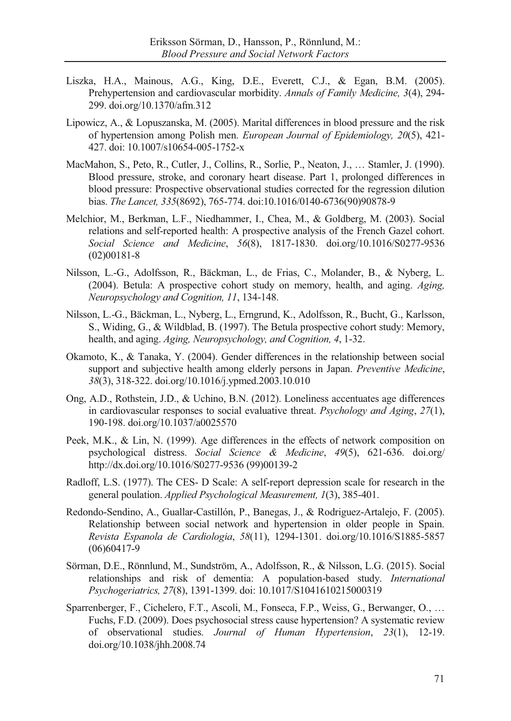- Liszka, H.A., Mainous, A.G., King, D.E., Everett, C.J., & Egan, B.M. (2005). Prehypertension and cardiovascular morbidity. *Annals of Family Medicine, 3*(4), 294- 299. doi.org/10.1370/afm.312
- Lipowicz, A., & Lopuszanska, M. (2005). Marital differences in blood pressure and the risk of hypertension among Polish men. *European Journal of Epidemiology, 20*(5), 421- 427. doi: 10.1007/s10654-005-1752-x
- MacMahon, S., Peto, R., Cutler, J., Collins, R., Sorlie, P., Neaton, J., … Stamler, J. (1990). Blood pressure, stroke, and coronary heart disease. Part 1, prolonged differences in blood pressure: Prospective observational studies corrected for the regression dilution bias. *The Lancet, 335*(8692), 765-774. doi:10.1016/0140-6736(90)90878-9
- Melchior, M., Berkman, L.F., Niedhammer, I., Chea, M., & Goldberg, M. (2003). Social relations and self-reported health: A prospective analysis of the French Gazel cohort. *Social Science and Medicine*, *56*(8), 1817-1830. doi.org/10.1016/S0277-9536 (02)00181-8
- Nilsson, L.-G., Adolfsson, R., Bäckman, L., de Frias, C., Molander, B., & Nyberg, L. (2004). Betula: A prospective cohort study on memory, health, and aging. *Aging, Neuropsychology and Cognition, 11*, 134-148.
- Nilsson, L.-G., Bäckman, L., Nyberg, L., Erngrund, K., Adolfsson, R., Bucht, G., Karlsson, S., Widing, G., & Wildblad, B. (1997). The Betula prospective cohort study: Memory, health, and aging. *Aging, Neuropsychology, and Cognition, 4*, 1-32.
- Okamoto, K., & Tanaka, Y. (2004). Gender differences in the relationship between social support and subjective health among elderly persons in Japan. *Preventive Medicine*, *38*(3), 318-322. doi.org/10.1016/j.ypmed.2003.10.010
- Ong, A.D., Rothstein, J.D., & Uchino, B.N. (2012). Loneliness accentuates age differences in cardiovascular responses to social evaluative threat. *Psychology and Aging*, *27*(1), 190-198. doi.org/10.1037/a0025570
- Peek, M.K., & Lin, N. (1999). Age differences in the effects of network composition on psychological distress. *Social Science & Medicine*, *49*(5), 621-636. doi.org/ http://dx.doi.org/10.1016/S0277-9536 (99)00139-2
- Radloff, L.S. (1977). The CES- D Scale: A self-report depression scale for research in the general poulation. *Applied Psychological Measurement, 1*(3), 385-401.
- Redondo-Sendino, A., Guallar-Castillón, P., Banegas, J., & Rodriguez-Artalejo, F. (2005). Relationship between social network and hypertension in older people in Spain. *Revista Espanola de Cardiologia*, *58*(11), 1294-1301. doi.org/10.1016/S1885-5857 (06)60417-9
- Sörman, D.E., Rönnlund, M., Sundström, A., Adolfsson, R., & Nilsson, L.G. (2015). Social relationships and risk of dementia: A population-based study. *International Psychogeriatrics, 27*(8), 1391-1399. doi: 10.1017/S1041610215000319
- Sparrenberger, F., Cichelero, F.T., Ascoli, M., Fonseca, F.P., Weiss, G., Berwanger, O., … Fuchs, F.D. (2009). Does psychosocial stress cause hypertension? A systematic review of observational studies. *Journal of Human Hypertension*, *23*(1), 12-19. doi.org/10.1038/jhh.2008.74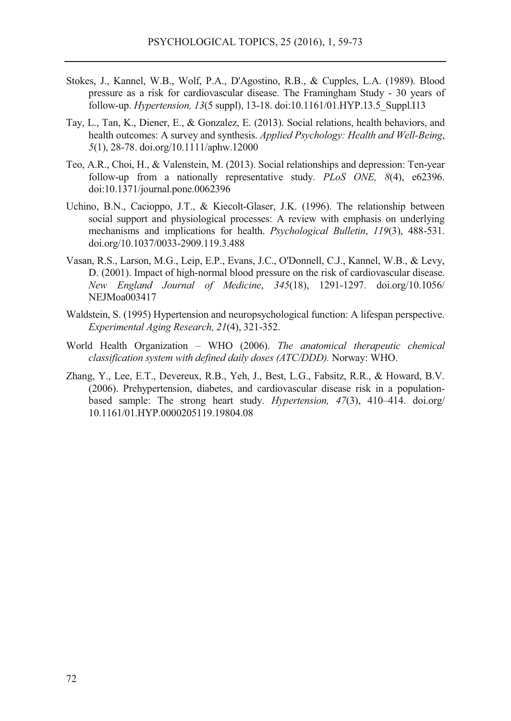- Stokes, J., Kannel, W.B., Wolf, P.A., D'Agostino, R.B., & Cupples, L.A. (1989). Blood pressure as a risk for cardiovascular disease. The Framingham Study - 30 years of follow-up. *Hypertension, 13*(5 suppl), 13-18. doi:10.1161/01.HYP.13.5\_Suppl.I13
- Tay, L., Tan, K., Diener, E., & Gonzalez, E. (2013). Social relations, health behaviors, and health outcomes: A survey and synthesis. *Applied Psychology: Health and Well-Being*, *5*(1), 28-78. doi.org/10.1111/aphw.12000
- Teo, A.R., Choi, H., & Valenstein, M. (2013). Social relationships and depression: Ten-year follow-up from a nationally representative study. *PLoS ONE, 8*(4), e62396. doi:10.1371/journal.pone.0062396
- Uchino, B.N., Cacioppo, J.T., & Kiecolt-Glaser, J.K. (1996). The relationship between social support and physiological processes: A review with emphasis on underlying mechanisms and implications for health. *Psychological Bulletin*, *119*(3), 488-531. doi.org/10.1037/0033-2909.119.3.488
- Vasan, R.S., Larson, M.G., Leip, E.P., Evans, J.C., O'Donnell, C.J., Kannel, W.B., & Levy, D. (2001). Impact of high-normal blood pressure on the risk of cardiovascular disease. *New England Journal of Medicine*, *345*(18), 1291-1297. doi.org/10.1056/ NEJMoa003417
- Waldstein, S. (1995) Hypertension and neuropsychological function: A lifespan perspective. *Experimental Aging Research, 21*(4), 321-352.
- World Health Organization WHO (2006). *The anatomical therapeutic chemical classification system with defined daily doses (ATC/DDD).* Norway: WHO.
- Zhang, Y., Lee, E.T., Devereux, R.B., Yeh, J., Best, L.G., Fabsitz, R.R., & Howard, B.V. (2006). Prehypertension, diabetes, and cardiovascular disease risk in a populationbased sample: The strong heart study. *Hypertension, 47*(3), 410–414. doi.org/ 10.1161/01.HYP.0000205119.19804.08